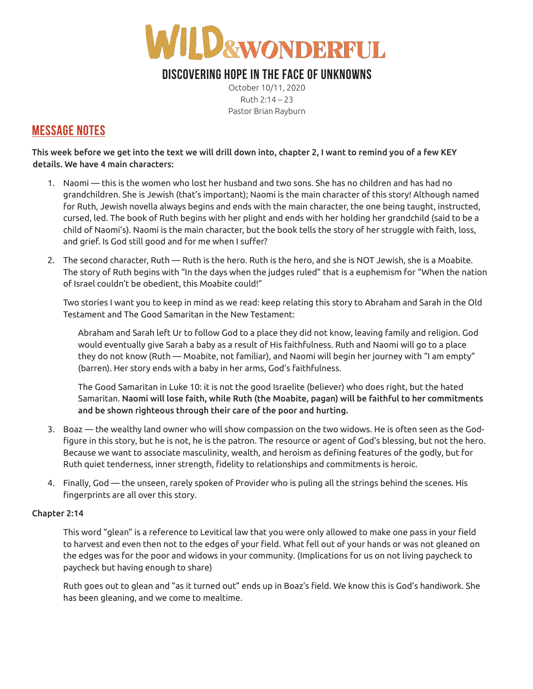

## **DISCOVERING HOPE IN THE FACE OF UNKNOWNS**

October 10/11, 2020 Ruth 2:14 – 23 Pastor Brian Rayburn

## **MESSAGE NOTES**

This week before we get into the text we will drill down into, chapter 2, I want to remind you of a few KEY details. We have 4 main characters:

- 1. Naomi this is the women who lost her husband and two sons. She has no children and has had no grandchildren. She is Jewish (that's important); Naomi is the main character of this story! Although named for Ruth, Jewish novella always begins and ends with the main character, the one being taught, instructed, cursed, led. The book of Ruth begins with her plight and ends with her holding her grandchild (said to be a child of Naomi's). Naomi is the main character, but the book tells the story of her struggle with faith, loss, and grief. Is God still good and for me when I suffer?
- 2. The second character, Ruth Ruth is the hero. Ruth is the hero, and she is NOT Jewish, she is a Moabite. The story of Ruth begins with "In the days when the judges ruled" that is a euphemism for "When the nation of Israel couldn't be obedient, this Moabite could!"

Two stories I want you to keep in mind as we read: keep relating this story to Abraham and Sarah in the Old Testament and The Good Samaritan in the New Testament:

Abraham and Sarah left Ur to follow God to a place they did not know, leaving family and religion. God would eventually give Sarah a baby as a result of His faithfulness. Ruth and Naomi will go to a place they do not know (Ruth — Moabite, not familiar), and Naomi will begin her journey with "I am empty" (barren). Her story ends with a baby in her arms, God's faithfulness.

The Good Samaritan in Luke 10: it is not the good Israelite (believer) who does right, but the hated Samaritan. Naomi will lose faith, while Ruth (the Moabite, pagan) will be faithful to her commitments and be shown righteous through their care of the poor and hurting.

- 3. Boaz the wealthy land owner who will show compassion on the two widows. He is often seen as the Godfigure in this story, but he is not, he is the patron. The resource or agent of God's blessing, but not the hero. Because we want to associate masculinity, wealth, and heroism as defining features of the godly, but for Ruth quiet tenderness, inner strength, fidelity to relationships and commitments is heroic.
- 4. Finally, God the unseen, rarely spoken of Provider who is puling all the strings behind the scenes. His fingerprints are all over this story.

### Chapter 2:14

This word "glean" is a reference to Levitical law that you were only allowed to make one pass in your field to harvest and even then not to the edges of your field. What fell out of your hands or was not gleaned on the edges was for the poor and widows in your community. (Implications for us on not living paycheck to paycheck but having enough to share)

Ruth goes out to glean and "as it turned out" ends up in Boaz's field. We know this is God's handiwork. She has been gleaning, and we come to mealtime.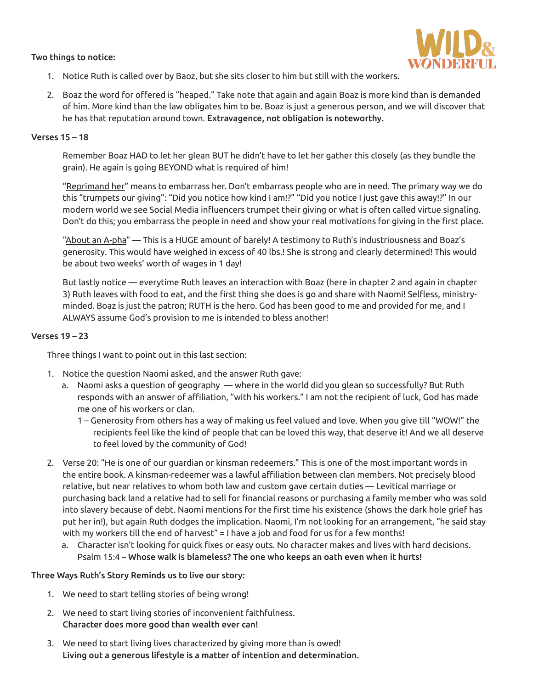#### Two things to notice:



- 1. Notice Ruth is called over by Baoz, but she sits closer to him but still with the workers.
- 2. Boaz the word for offered is "heaped." Take note that again and again Boaz is more kind than is demanded of him. More kind than the law obligates him to be. Boaz is just a generous person, and we will discover that he has that reputation around town. Extravagence, not obligation is noteworthy.

#### Verses 15 – 18

Remember Boaz HAD to let her glean BUT he didn't have to let her gather this closely (as they bundle the grain). He again is going BEYOND what is required of him!

"Reprimand her" means to embarrass her. Don't embarrass people who are in need. The primary way we do this "trumpets our giving": "Did you notice how kind I am!?" "Did you notice I just gave this away!?" In our modern world we see Social Media influencers trumpet their giving or what is often called virtue signaling. Don't do this; you embarrass the people in need and show your real motivations for giving in the first place.

"About an A-pha" — This is a HUGE amount of barely! A testimony to Ruth's industriousness and Boaz's generosity. This would have weighed in excess of 40 lbs.! She is strong and clearly determined! This would be about two weeks' worth of wages in 1 day!

But lastly notice — everytime Ruth leaves an interaction with Boaz (here in chapter 2 and again in chapter 3) Ruth leaves with food to eat, and the first thing she does is go and share with Naomi! Selfless, ministryminded. Boaz is just the patron; RUTH is the hero. God has been good to me and provided for me, and I ALWAYS assume God's provision to me is intended to bless another!

#### Verses 19 – 23

Three things I want to point out in this last section:

- 1. Notice the question Naomi asked, and the answer Ruth gave:
	- a. Naomi asks a question of geography where in the world did you glean so successfully? But Ruth responds with an answer of affiliation, "with his workers." I am not the recipient of luck, God has made me one of his workers or clan.
		- 1 Generosity from others has a way of making us feel valued and love. When you give till "WOW!" the recipients feel like the kind of people that can be loved this way, that deserve it! And we all deserve to feel loved by the community of God!
- 2. Verse 20: "He is one of our guardian or kinsman redeemers." This is one of the most important words in the entire book. A kinsman-redeemer was a lawful affiliation between clan members. Not precisely blood relative, but near relatives to whom both law and custom gave certain duties — Levitical marriage or purchasing back land a relative had to sell for financial reasons or purchasing a family member who was sold into slavery because of debt. Naomi mentions for the first time his existence (shows the dark hole grief has put her in!), but again Ruth dodges the implication. Naomi, I'm not looking for an arrangement, "he said stay with my workers till the end of harvest" = I have a job and food for us for a few months!
	- a. Character isn't looking for quick fixes or easy outs. No character makes and lives with hard decisions. Psalm 15:4 – Whose walk is blameless? The one who keeps an oath even when it hurts!

#### Three Ways Ruth's Story Reminds us to live our story:

- 1. We need to start telling stories of being wrong!
- 2. We need to start living stories of inconvenient faithfulness. Character does more good than wealth ever can!
- 3. We need to start living lives characterized by giving more than is owed! Living out a generous lifestyle is a matter of intention and determination.